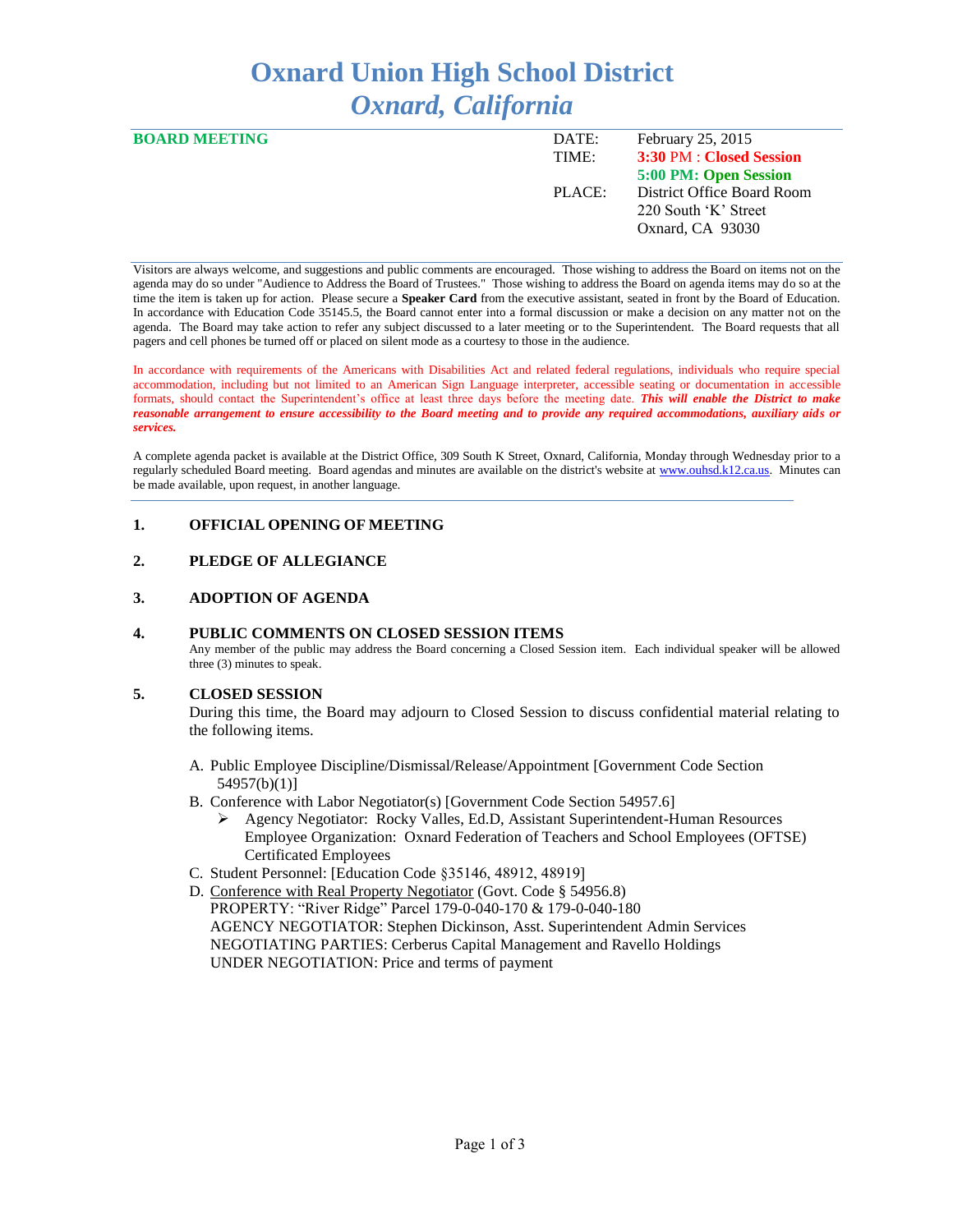# **Oxnard Union High School District** *Oxnard, California*

| <b>BOARD MEETING</b> | DATE:  | February 25, 2015          |
|----------------------|--------|----------------------------|
|                      | TIME:  | 3:30 PM : Closed Session   |
|                      |        | 5:00 PM: Open Session      |
|                      | PLACE: | District Office Board Room |
|                      |        | 220 South 'K' Street       |
|                      |        | Oxnard, CA 93030           |
|                      |        |                            |

Visitors are always welcome, and suggestions and public comments are encouraged. Those wishing to address the Board on items not on the agenda may do so under "Audience to Address the Board of Trustees." Those wishing to address the Board on agenda items may do so at the time the item is taken up for action. Please secure a **Speaker Card** from the executive assistant, seated in front by the Board of Education. In accordance with Education Code 35145.5, the Board cannot enter into a formal discussion or make a decision on any matter not on the agenda. The Board may take action to refer any subject discussed to a later meeting or to the Superintendent. The Board requests that all pagers and cell phones be turned off or placed on silent mode as a courtesy to those in the audience.

In accordance with requirements of the Americans with Disabilities Act and related federal regulations, individuals who require special accommodation, including but not limited to an American Sign Language interpreter, accessible seating or documentation in accessible formats, should contact the Superintendent's office at least three days before the meeting date. *This will enable the District to make reasonable arrangement to ensure accessibility to the Board meeting and to provide any required accommodations, auxiliary aids or services.* 

A complete agenda packet is available at the District Office, 309 South K Street, Oxnard, California, Monday through Wednesday prior to a regularly scheduled Board meeting. Board agendas and minutes are available on the district's website a[t www.ouhsd.k12.ca.us.](http://www.ouhsd.k12.ca.us/)Minutes can be made available, upon request, in another language.

# **1. OFFICIAL OPENING OF MEETING**

# **2. PLEDGE OF ALLEGIANCE**

# **3. ADOPTION OF AGENDA**

# **4. PUBLIC COMMENTS ON CLOSED SESSION ITEMS**

Any member of the public may address the Board concerning a Closed Session item. Each individual speaker will be allowed three (3) minutes to speak.

# **5. CLOSED SESSION**

During this time, the Board may adjourn to Closed Session to discuss confidential material relating to the following items.

- A. Public Employee Discipline/Dismissal/Release/Appointment [Government Code Section 54957(b)(1)]
- B. Conference with Labor Negotiator(s) [Government Code Section 54957.6]
	- Agency Negotiator: Rocky Valles, Ed.D, Assistant Superintendent-Human Resources Employee Organization: Oxnard Federation of Teachers and School Employees (OFTSE) Certificated Employees
- C. Student Personnel: [Education Code §35146, 48912, 48919]
- D. Conference with Real Property Negotiator (Govt. Code § 54956.8) PROPERTY: "River Ridge" Parcel 179-0-040-170 & 179-0-040-180 AGENCY NEGOTIATOR: Stephen Dickinson, Asst. Superintendent Admin Services NEGOTIATING PARTIES: Cerberus Capital Management and Ravello Holdings UNDER NEGOTIATION: Price and terms of payment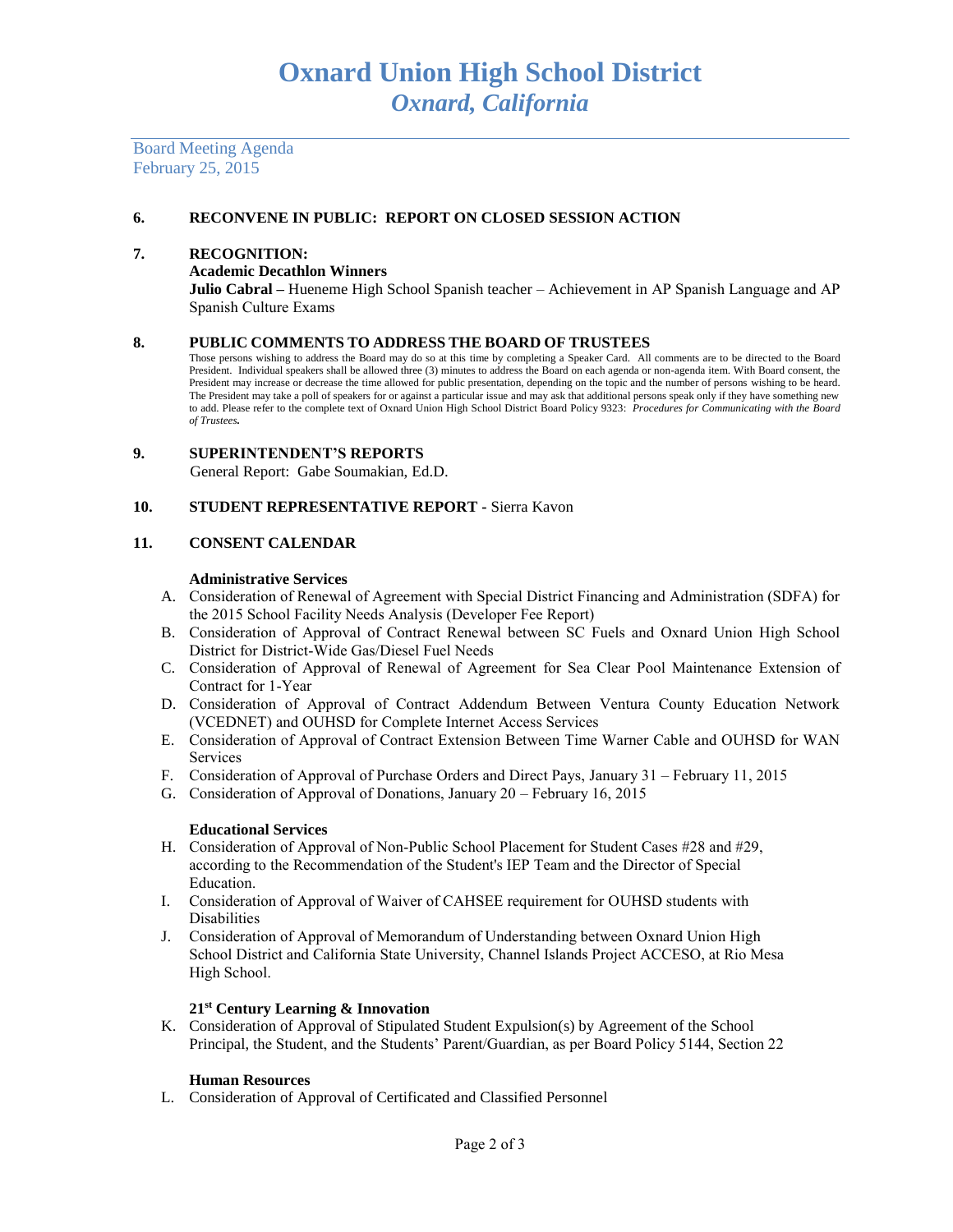Board Meeting Agenda February 25, 2015

# **6. RECONVENE IN PUBLIC: REPORT ON CLOSED SESSION ACTION**

## **7. RECOGNITION:**

#### **Academic Decathlon Winners**

**Julio Cabral –** Hueneme High School Spanish teacher – Achievement in AP Spanish Language and AP Spanish Culture Exams

## **8. PUBLIC COMMENTS TO ADDRESS THE BOARD OF TRUSTEES**

Those persons wishing to address the Board may do so at this time by completing a Speaker Card. All comments are to be directed to the Board President. Individual speakers shall be allowed three (3) minutes to address the Board on each agenda or non-agenda item. With Board consent, the President may increase or decrease the time allowed for public presentation, depending on the topic and the number of persons wishing to be heard. The President may take a poll of speakers for or against a particular issue and may ask that additional persons speak only if they have something new to add. Please refer to the complete text of Oxnard Union High School District Board Policy 9323: *Procedures for Communicating with the Board of Trustees.*

#### **9. SUPERINTENDENT'S REPORTS** General Report: Gabe Soumakian, Ed.D.

#### **10. STUDENT REPRESENTATIVE REPORT -** Sierra Kavon

# **11. CONSENT CALENDAR**

#### **Administrative Services**

- A. Consideration of Renewal of Agreement with Special District Financing and Administration (SDFA) for the 2015 School Facility Needs Analysis (Developer Fee Report)
- B. Consideration of Approval of Contract Renewal between SC Fuels and Oxnard Union High School District for District-Wide Gas/Diesel Fuel Needs
- C. Consideration of Approval of Renewal of Agreement for Sea Clear Pool Maintenance Extension of Contract for 1-Year
- D. Consideration of Approval of Contract Addendum Between Ventura County Education Network (VCEDNET) and OUHSD for Complete Internet Access Services
- E. Consideration of Approval of Contract Extension Between Time Warner Cable and OUHSD for WAN Services
- F. Consideration of Approval of Purchase Orders and Direct Pays, January 31 February 11, 2015
- G. Consideration of Approval of Donations, January 20 February 16, 2015

#### **Educational Services**

- H. Consideration of Approval of Non-Public School Placement for Student Cases #28 and #29, according to the Recommendation of the Student's IEP Team and the Director of Special Education.
- I. Consideration of Approval of Waiver of CAHSEE requirement for OUHSD students with Disabilities
- J. Consideration of Approval of Memorandum of Understanding between Oxnard Union High School District and California State University, Channel Islands Project ACCESO, at Rio Mesa High School.

# **21st Century Learning & Innovation**

K. Consideration of Approval of Stipulated Student Expulsion(s) by Agreement of the School Principal, the Student, and the Students' Parent/Guardian, as per Board Policy 5144, Section 22

#### **Human Resources**

L. Consideration of Approval of Certificated and Classified Personnel